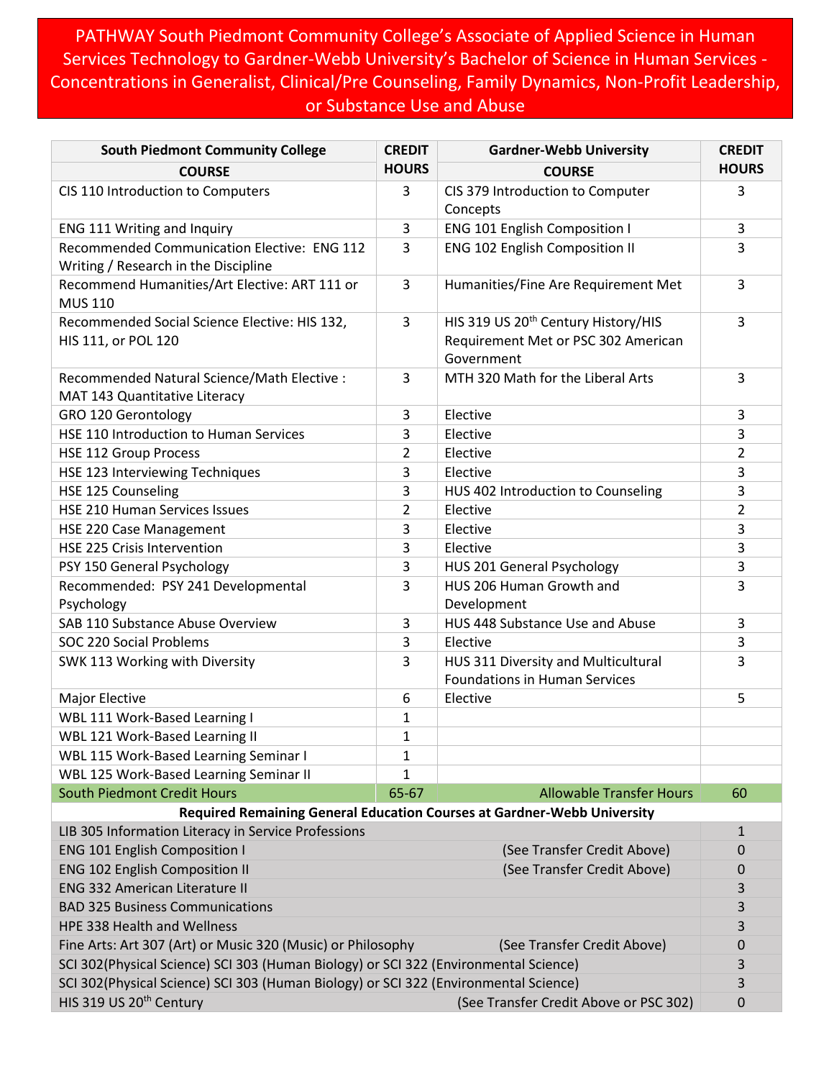PATHWAY South Piedmont Community College's Associate of Applied Science in Human Services Technology to Gardner-Webb University's Bachelor of Science in Human Services - Concentrations in Generalist, Clinical/Pre Counseling, Family Dynamics, Non-Profit Leadership, or Substance Use and Abuse

| <b>South Piedmont Community College</b>                                                    | <b>CREDIT</b>  | <b>Gardner-Webb University</b>                                                           | <b>CREDIT</b>  |
|--------------------------------------------------------------------------------------------|----------------|------------------------------------------------------------------------------------------|----------------|
| <b>COURSE</b>                                                                              | <b>HOURS</b>   | <b>COURSE</b>                                                                            | <b>HOURS</b>   |
| CIS 110 Introduction to Computers                                                          | 3              | CIS 379 Introduction to Computer                                                         | 3              |
|                                                                                            |                | Concepts                                                                                 |                |
| ENG 111 Writing and Inquiry                                                                | 3              | <b>ENG 101 English Composition I</b>                                                     | 3              |
| Recommended Communication Elective: ENG 112<br>Writing / Research in the Discipline        | 3              | ENG 102 English Composition II                                                           | 3              |
| Recommend Humanities/Art Elective: ART 111 or<br><b>MUS 110</b>                            | 3              | Humanities/Fine Are Requirement Met                                                      | 3              |
| Recommended Social Science Elective: HIS 132,<br>HIS 111, or POL 120                       | 3              | HIS 319 US 20th Century History/HIS<br>Requirement Met or PSC 302 American<br>Government | 3              |
| Recommended Natural Science/Math Elective :<br>MAT 143 Quantitative Literacy               | 3              | MTH 320 Math for the Liberal Arts                                                        | 3              |
| GRO 120 Gerontology                                                                        | 3              | Elective                                                                                 | 3              |
| HSE 110 Introduction to Human Services                                                     | 3              | Elective                                                                                 | 3              |
| <b>HSE 112 Group Process</b>                                                               | $\overline{2}$ | Elective                                                                                 | $\overline{2}$ |
| HSE 123 Interviewing Techniques                                                            | 3              | Elective                                                                                 | 3              |
| HSE 125 Counseling                                                                         | 3              | HUS 402 Introduction to Counseling                                                       | 3              |
| HSE 210 Human Services Issues                                                              | $\overline{2}$ | Elective                                                                                 | $\overline{2}$ |
| HSE 220 Case Management                                                                    | 3              | Elective                                                                                 | 3              |
| HSE 225 Crisis Intervention                                                                | 3              | Elective                                                                                 | 3              |
| PSY 150 General Psychology                                                                 | 3              | HUS 201 General Psychology                                                               | 3              |
| Recommended: PSY 241 Developmental                                                         | 3              | HUS 206 Human Growth and                                                                 | 3              |
| Psychology                                                                                 |                | Development                                                                              |                |
| SAB 110 Substance Abuse Overview                                                           | 3              | HUS 448 Substance Use and Abuse                                                          | 3              |
| SOC 220 Social Problems                                                                    | 3              | Elective                                                                                 | 3              |
| SWK 113 Working with Diversity                                                             | 3              | HUS 311 Diversity and Multicultural<br><b>Foundations in Human Services</b>              | 3              |
| Major Elective                                                                             | 6              | Elective                                                                                 | 5              |
| WBL 111 Work-Based Learning I                                                              | $\mathbf{1}$   |                                                                                          |                |
| WBL 121 Work-Based Learning II                                                             | $\mathbf{1}$   |                                                                                          |                |
| WBL 115 Work-Based Learning Seminar I                                                      | 1              |                                                                                          |                |
| WBL 125 Work-Based Learning Seminar II                                                     | 1              |                                                                                          |                |
| <b>South Piedmont Credit Hours</b>                                                         | 65-67          | <b>Allowable Transfer Hours</b>                                                          | 60             |
|                                                                                            |                | Required Remaining General Education Courses at Gardner-Webb University                  |                |
| LIB 305 Information Literacy in Service Professions                                        |                |                                                                                          | $\mathbf{1}$   |
| <b>ENG 101 English Composition I</b><br>(See Transfer Credit Above)                        |                |                                                                                          | 0              |
| <b>ENG 102 English Composition II</b><br>(See Transfer Credit Above)                       |                |                                                                                          | 0              |
| <b>ENG 332 American Literature II</b>                                                      |                |                                                                                          | 3              |
| <b>BAD 325 Business Communications</b>                                                     |                |                                                                                          | 3              |
| <b>HPE 338 Health and Wellness</b>                                                         |                |                                                                                          |                |
| Fine Arts: Art 307 (Art) or Music 320 (Music) or Philosophy<br>(See Transfer Credit Above) |                |                                                                                          | 0              |
| SCI 302(Physical Science) SCI 303 (Human Biology) or SCI 322 (Environmental Science)       |                |                                                                                          |                |
| SCI 302(Physical Science) SCI 303 (Human Biology) or SCI 322 (Environmental Science)       |                |                                                                                          | 3              |
| HIS 319 US 20 <sup>th</sup> Century                                                        |                | (See Transfer Credit Above or PSC 302)                                                   | 0              |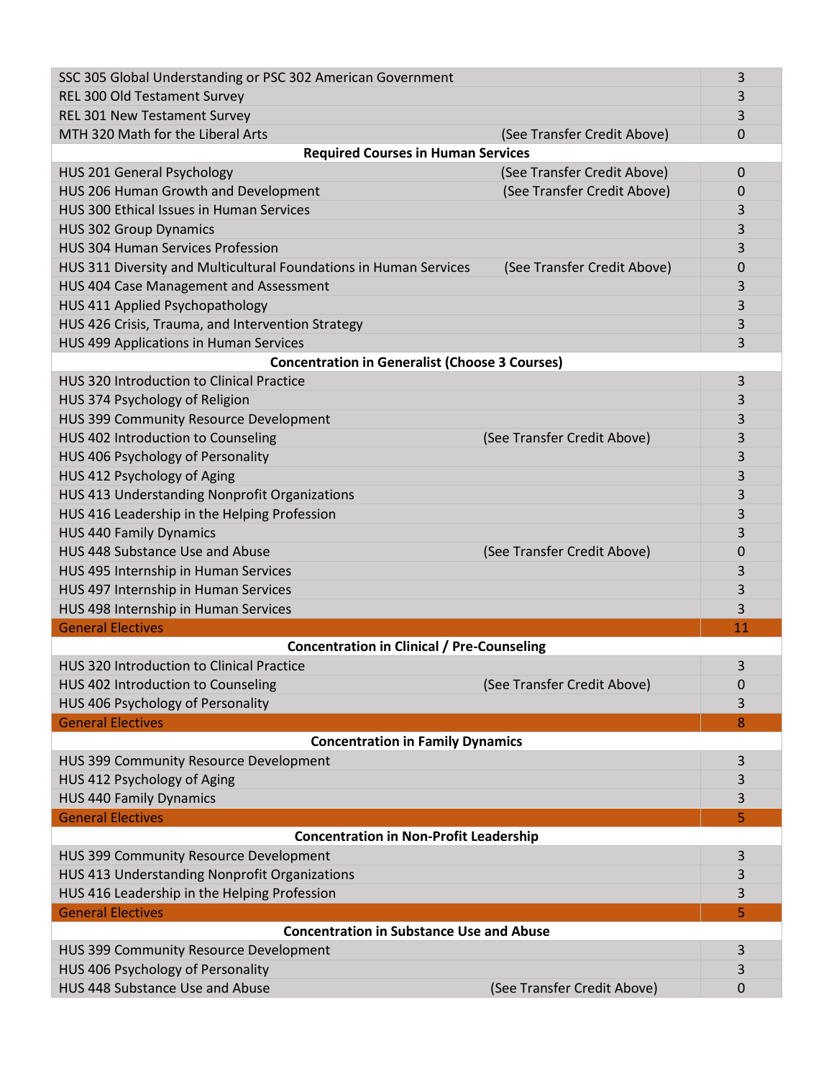| SSC 305 Global Understanding or PSC 302 American Government       |                                  |  |  |  |
|-------------------------------------------------------------------|----------------------------------|--|--|--|
| REL 300 Old Testament Survey                                      | 3                                |  |  |  |
| REL 301 New Testament Survey                                      | 3                                |  |  |  |
| MTH 320 Math for the Liberal Arts                                 | (See Transfer Credit Above)<br>0 |  |  |  |
| <b>Required Courses in Human Services</b>                         |                                  |  |  |  |
| <b>HUS 201 General Psychology</b>                                 | (See Transfer Credit Above)<br>0 |  |  |  |
| HUS 206 Human Growth and Development                              | (See Transfer Credit Above)<br>0 |  |  |  |
| HUS 300 Ethical Issues in Human Services                          | 3                                |  |  |  |
| <b>HUS 302 Group Dynamics</b>                                     | 3                                |  |  |  |
| <b>HUS 304 Human Services Profession</b>                          | 3                                |  |  |  |
| HUS 311 Diversity and Multicultural Foundations in Human Services | (See Transfer Credit Above)<br>0 |  |  |  |
| HUS 404 Case Management and Assessment                            | 3                                |  |  |  |
| HUS 411 Applied Psychopathology                                   | 3                                |  |  |  |
| HUS 426 Crisis, Trauma, and Intervention Strategy                 | 3                                |  |  |  |
| HUS 499 Applications in Human Services                            | 3                                |  |  |  |
| <b>Concentration in Generalist (Choose 3 Courses)</b>             |                                  |  |  |  |
| <b>HUS 320 Introduction to Clinical Practice</b>                  | 3                                |  |  |  |
| HUS 374 Psychology of Religion                                    | 3                                |  |  |  |
| HUS 399 Community Resource Development                            | 3                                |  |  |  |
| HUS 402 Introduction to Counseling                                | (See Transfer Credit Above)<br>3 |  |  |  |
| HUS 406 Psychology of Personality                                 | 3                                |  |  |  |
| HUS 412 Psychology of Aging                                       | 3                                |  |  |  |
| HUS 413 Understanding Nonprofit Organizations                     | 3                                |  |  |  |
| HUS 416 Leadership in the Helping Profession                      | 3                                |  |  |  |
| <b>HUS 440 Family Dynamics</b>                                    | 3                                |  |  |  |
| HUS 448 Substance Use and Abuse                                   | (See Transfer Credit Above)<br>0 |  |  |  |
|                                                                   |                                  |  |  |  |
| HUS 495 Internship in Human Services                              | 3                                |  |  |  |
| HUS 497 Internship in Human Services                              | 3                                |  |  |  |
| HUS 498 Internship in Human Services                              | 3                                |  |  |  |
| <b>General Electives</b>                                          | 11                               |  |  |  |
| <b>Concentration in Clinical / Pre-Counseling</b>                 |                                  |  |  |  |
| <b>HUS 320 Introduction to Clinical Practice</b>                  | 3                                |  |  |  |
| HUS 402 Introduction to Counseling                                | (See Transfer Credit Above)<br>0 |  |  |  |
| HUS 406 Psychology of Personality                                 | 3                                |  |  |  |
| <b>General Electives</b><br>8                                     |                                  |  |  |  |
| <b>Concentration in Family Dynamics</b>                           |                                  |  |  |  |
| HUS 399 Community Resource Development                            | 3                                |  |  |  |
| HUS 412 Psychology of Aging                                       | 3                                |  |  |  |
| <b>HUS 440 Family Dynamics</b>                                    | 3                                |  |  |  |
| <b>General Electives</b>                                          | 5                                |  |  |  |
| <b>Concentration in Non-Profit Leadership</b>                     |                                  |  |  |  |
| HUS 399 Community Resource Development                            | 3                                |  |  |  |
| HUS 413 Understanding Nonprofit Organizations                     | 3                                |  |  |  |
| HUS 416 Leadership in the Helping Profession                      | 3                                |  |  |  |
| <b>General Electives</b>                                          | 5                                |  |  |  |
| <b>Concentration in Substance Use and Abuse</b>                   |                                  |  |  |  |
| HUS 399 Community Resource Development                            | 3                                |  |  |  |
| HUS 406 Psychology of Personality                                 | 3                                |  |  |  |
| HUS 448 Substance Use and Abuse                                   | (See Transfer Credit Above)<br>0 |  |  |  |